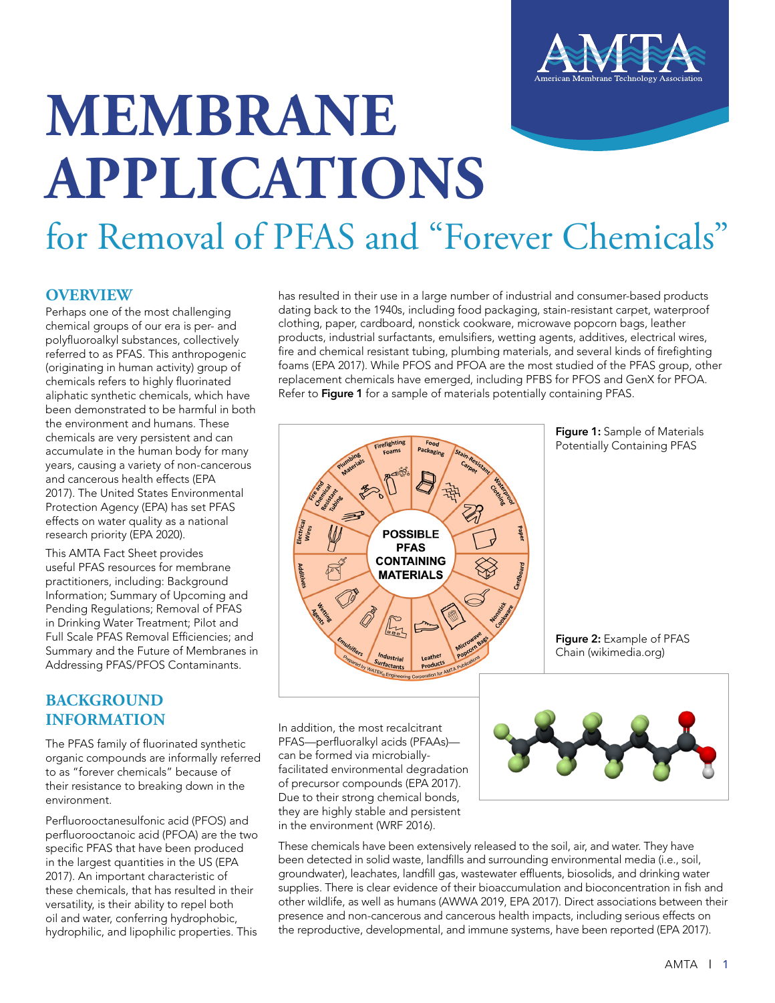

# **MEMBRANE APPLICATIONS** for Removal of PFAS and "Forever Chemicals"

#### **OVERVIEW**

Perhaps one of the most challenging chemical groups of our era is per- and polyfluoroalkyl substances, collectively referred to as PFAS. This anthropogenic (originating in human activity) group of chemicals refers to highly fluorinated aliphatic synthetic chemicals, which have been demonstrated to be harmful in both the environment and humans. These chemicals are very persistent and can accumulate in the human body for many years, causing a variety of non-cancerous and cancerous health effects (EPA 2017). The United States Environmental Protection Agency (EPA) has set PFAS effects on water quality as a national research priority (EPA 2020).

This AMTA Fact Sheet provides useful PFAS resources for membrane practitioners, including: Background Information; Summary of Upcoming and Pending Regulations; Removal of PFAS in Drinking Water Treatment; Pilot and Full Scale PFAS Removal Efficiencies; and Summary and the Future of Membranes in Addressing PFAS/PFOS Contaminants.

#### **BACKGROUND INFORMATION**

The PFAS family of fluorinated synthetic organic compounds are informally referred to as "forever chemicals" because of their resistance to breaking down in the environment.

Perfluorooctanesulfonic acid (PFOS) and perfluorooctanoic acid (PFOA) are the two specific PFAS that have been produced in the largest quantities in the US (EPA 2017). An important characteristic of these chemicals, that has resulted in their versatility, is their ability to repel both oil and water, conferring hydrophobic, hydrophilic, and lipophilic properties. This

has resulted in their use in a large number of industrial and consumer-based products dating back to the 1940s, including food packaging, stain-resistant carpet, waterproof clothing, paper, cardboard, nonstick cookware, microwave popcorn bags, leather products, industrial surfactants, emulsifiers, wetting agents, additives, electrical wires, fire and chemical resistant tubing, plumbing materials, and several kinds of firefighting foams (EPA 2017). While PFOS and PFOA are the most studied of the PFAS group, other replacement chemicals have emerged, including PFBS for PFOS and GenX for PFOA. Refer to **Figure 1** for a sample of materials potentially containing PFAS.



**Figure 1:** Sample of Materials Potentially Containing PFAS

**Figure 2:** Example of PFAS Chain (wikimedia.org)



These chemicals have been extensively released to the soil, air, and water. They have been detected in solid waste, landfills and surrounding environmental media (i.e., soil, groundwater), leachates, landfill gas, wastewater effluents, biosolids, and drinking water supplies. There is clear evidence of their bioaccumulation and bioconcentration in fish and other wildlife, as well as humans (AWWA 2019, EPA 2017). Direct associations between their presence and non-cancerous and cancerous health impacts, including serious effects on the reproductive, developmental, and immune systems, have been reported (EPA 2017).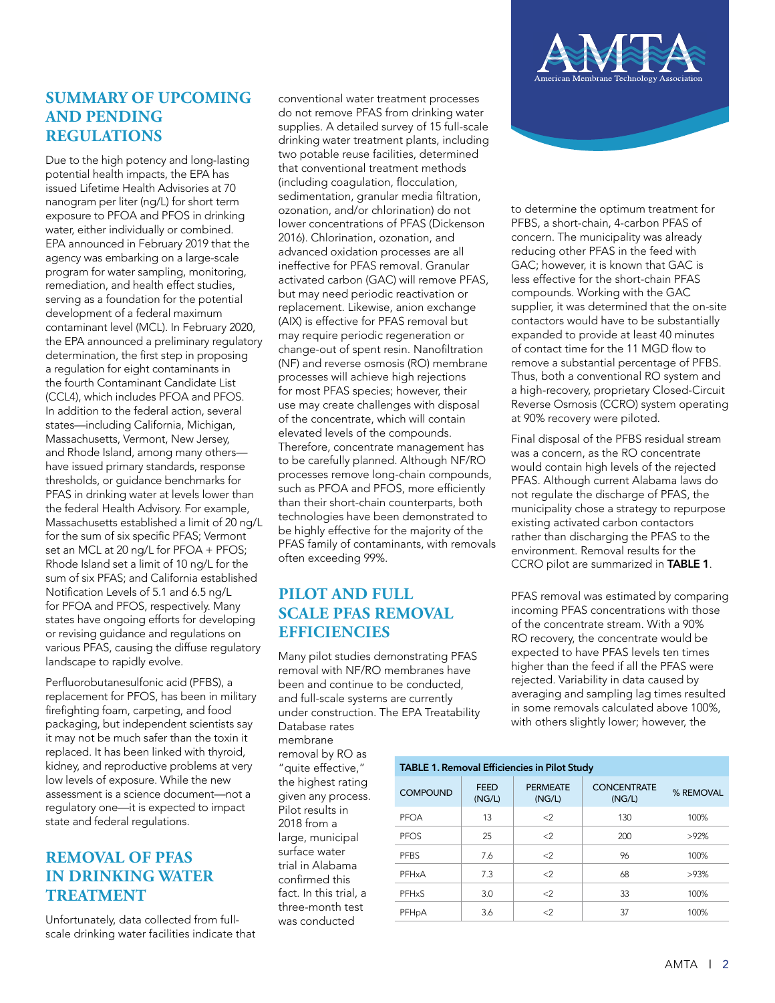#### **SUMMARY OF UPCOMING AND PENDING REGULATIONS**

Due to the high potency and long-lasting potential health impacts, the EPA has issued Lifetime Health Advisories at 70 nanogram per liter (ng/L) for short term exposure to PFOA and PFOS in drinking water, either individually or combined. EPA announced in February 2019 that the agency was embarking on a large-scale program for water sampling, monitoring, remediation, and health effect studies, serving as a foundation for the potential development of a federal maximum contaminant level (MCL). In February 2020, the EPA announced a preliminary regulatory determination, the first step in proposing a regulation for eight contaminants in the fourth Contaminant Candidate List (CCL4), which includes PFOA and PFOS. In addition to the federal action, several states—including California, Michigan, Massachusetts, Vermont, New Jersey, and Rhode Island, among many others have issued primary standards, response thresholds, or guidance benchmarks for PFAS in drinking water at levels lower than the federal Health Advisory. For example, Massachusetts established a limit of 20 ng/L for the sum of six specific PFAS; Vermont set an MCL at 20 ng/L for PFOA + PFOS; Rhode Island set a limit of 10 ng/L for the sum of six PFAS; and California established Notification Levels of 5.1 and 6.5 ng/L for PFOA and PFOS, respectively. Many states have ongoing efforts for developing or revising guidance and regulations on various PFAS, causing the diffuse regulatory landscape to rapidly evolve.

Perfluorobutanesulfonic acid (PFBS), a replacement for PFOS, has been in military firefighting foam, carpeting, and food packaging, but independent scientists say it may not be much safer than the toxin it replaced. It has been linked with thyroid, kidney, and reproductive problems at very low levels of exposure. While the new assessment is a science document—not a regulatory one—it is expected to impact state and federal regulations.

## **REMOVAL OF PFAS IN DRINKING WATER TREATMENT**

Unfortunately, data collected from fullscale drinking water facilities indicate that conventional water treatment processes do not remove PFAS from drinking water supplies. A detailed survey of 15 full-scale drinking water treatment plants, including two potable reuse facilities, determined that conventional treatment methods (including coagulation, flocculation, sedimentation, granular media filtration, ozonation, and/or chlorination) do not lower concentrations of PFAS (Dickenson 2016). Chlorination, ozonation, and advanced oxidation processes are all ineffective for PFAS removal. Granular activated carbon (GAC) will remove PFAS, but may need periodic reactivation or replacement. Likewise, anion exchange (AIX) is effective for PFAS removal but may require periodic regeneration or change-out of spent resin. Nanofiltration (NF) and reverse osmosis (RO) membrane processes will achieve high rejections for most PFAS species; however, their use may create challenges with disposal of the concentrate, which will contain elevated levels of the compounds. Therefore, concentrate management has to be carefully planned. Although NF/RO processes remove long-chain compounds, such as PFOA and PFOS, more efficiently than their short-chain counterparts, both technologies have been demonstrated to be highly effective for the majority of the PFAS family of contaminants, with removals often exceeding 99%.

# **PILOT AND FULL SCALE PFAS REMOVAL EFFICIENCIES**

Many pilot studies demonstrating PFAS removal with NF/RO membranes have been and continue to be conducted, and full-scale systems are currently under construction. The EPA Treatability Database rates

membrane removal by RO as "quite effective," the highest rating given any process. Pilot results in 2018 from a large, municipal surface water trial in Alabama confirmed this fact. In this trial, a three-month test was conducted



to determine the optimum treatment for PFBS, a short-chain, 4-carbon PFAS of concern. The municipality was already reducing other PFAS in the feed with GAC; however, it is known that GAC is less effective for the short-chain PFAS compounds. Working with the GAC supplier, it was determined that the on-site contactors would have to be substantially expanded to provide at least 40 minutes of contact time for the 11 MGD flow to remove a substantial percentage of PFBS. Thus, both a conventional RO system and a high-recovery, proprietary Closed-Circuit Reverse Osmosis (CCRO) system operating at 90% recovery were piloted.

Final disposal of the PFBS residual stream was a concern, as the RO concentrate would contain high levels of the rejected PFAS. Although current Alabama laws do not regulate the discharge of PFAS, the municipality chose a strategy to repurpose existing activated carbon contactors rather than discharging the PFAS to the environment. Removal results for the CCRO pilot are summarized in **TABLE 1**.

PFAS removal was estimated by comparing incoming PFAS concentrations with those of the concentrate stream. With a 90% RO recovery, the concentrate would be expected to have PFAS levels ten times higher than the feed if all the PFAS were rejected. Variability in data caused by averaging and sampling lag times resulted in some removals calculated above 100%, with others slightly lower; however, the

| <b>TABLE 1. Removal Efficiencies in Pilot Study</b> |                       |                           |                              |           |
|-----------------------------------------------------|-----------------------|---------------------------|------------------------------|-----------|
| <b>COMPOUND</b>                                     | <b>FEED</b><br>(NG/L) | <b>PERMEATE</b><br>(NG/L) | <b>CONCENTRATE</b><br>(NG/L) | % REMOVAL |
| PFOA                                                | 13                    | $\leq$                    | 130                          | 100%      |
| <b>PFOS</b>                                         | 25                    | $\leq$                    | 200                          | >92%      |
| <b>PFBS</b>                                         | 7.6                   | $\langle$ 2               | 96                           | 100%      |
| PFHxA                                               | 7.3                   | $\leq$                    | 68                           | >93%      |
| PFHxS                                               | 3.0                   | $\leq$                    | 33                           | 100%      |
| PFH <sub>p</sub> A                                  | 3.6                   | <2                        | 37                           | 100%      |
|                                                     |                       |                           |                              |           |